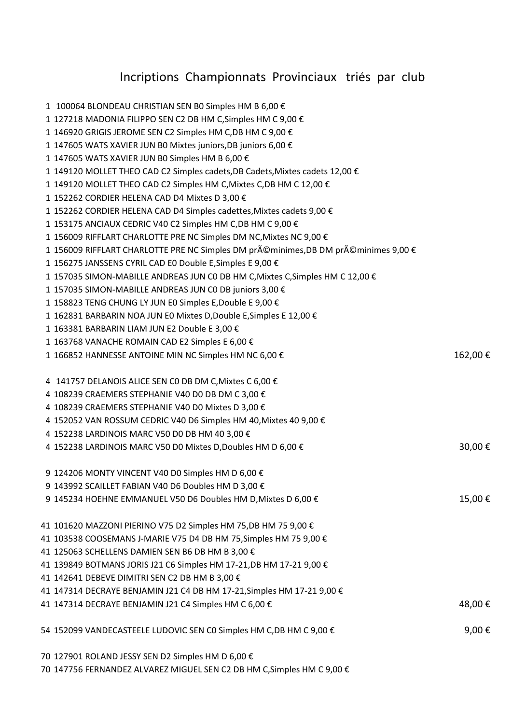## Incriptions Championnats Provinciaux triés par club

| 1 100064 BLONDEAU CHRISTIAN SEN BO Simples HM B 6,00 €                            |         |
|-----------------------------------------------------------------------------------|---------|
| 1 127218 MADONIA FILIPPO SEN C2 DB HM C, Simples HM C 9,00 €                      |         |
| 1 146920 GRIGIS JEROME SEN C2 Simples HM C,DB HM C 9,00 €                         |         |
| 1 147605 WATS XAVIER JUN B0 Mixtes juniors, DB juniors 6,00 €                     |         |
| 1 147605 WATS XAVIER JUN BO Simples HM B 6,00 €                                   |         |
| 1 149120 MOLLET THEO CAD C2 Simples cadets, DB Cadets, Mixtes cadets 12,00 €      |         |
| 1 149120 MOLLET THEO CAD C2 Simples HM C, Mixtes C, DB HM C 12,00 €               |         |
| 1 152262 CORDIER HELENA CAD D4 Mixtes D 3,00 €                                    |         |
| 1 152262 CORDIER HELENA CAD D4 Simples cadettes, Mixtes cadets 9,00 €             |         |
| 1 153175 ANCIAUX CEDRIC V40 C2 Simples HM C,DB HM C 9,00 €                        |         |
| 1 156009 RIFFLART CHARLOTTE PRE NC Simples DM NC, Mixtes NC 9,00 €                |         |
| 1 156009 RIFFLART CHARLOTTE PRE NC Simples DM préminimes, DB DM préminimes 9,00 € |         |
| 1 156275 JANSSENS CYRIL CAD E0 Double E, Simples E 9,00 €                         |         |
| 1 157035 SIMON-MABILLE ANDREAS JUN C0 DB HM C, Mixtes C, Simples HM C 12,00 €     |         |
| 1 157035 SIMON-MABILLE ANDREAS JUN C0 DB juniors 3,00 €                           |         |
| 1 158823 TENG CHUNG LY JUN E0 Simples E, Double E 9,00 €                          |         |
| 1 162831 BARBARIN NOA JUN E0 Mixtes D, Double E, Simples E 12,00 €                |         |
| 1 163381 BARBARIN LIAM JUN E2 Double E 3,00 €                                     |         |
| 1 163768 VANACHE ROMAIN CAD E2 Simples E 6,00 €                                   |         |
| 1 166852 HANNESSE ANTOINE MIN NC Simples HM NC 6,00 €                             | 162,00€ |
| 4 141757 DELANOIS ALICE SEN CO DB DM C, Mixtes C 6,00 €                           |         |
| 4 108239 CRAEMERS STEPHANIE V40 D0 DB DM C 3,00 €                                 |         |
| 4 108239 CRAEMERS STEPHANIE V40 D0 Mixtes D 3,00 €                                |         |
| 4 152052 VAN ROSSUM CEDRIC V40 D6 Simples HM 40, Mixtes 40 9,00 €                 |         |
| 4 152238 LARDINOIS MARC V50 D0 DB HM 40 3,00 €                                    |         |
| 4 152238 LARDINOIS MARC V50 D0 Mixtes D, Doubles HM D 6,00 €                      | 30,00€  |
| 9 124206 MONTY VINCENT V40 D0 Simples HM D 6,00 €                                 |         |
| 9 143992 SCAILLET FABIAN V40 D6 Doubles HM D 3,00 €                               |         |
| 9 145234 HOEHNE EMMANUEL V50 D6 Doubles HM D, Mixtes D 6,00 €                     | 15,00€  |
| 41 101620 MAZZONI PIERINO V75 D2 Simples HM 75,DB HM 75 9,00 €                    |         |
| 41 103538 COOSEMANS J-MARIE V75 D4 DB HM 75,Simples HM 75 9,00 €                  |         |
| 41 125063 SCHELLENS DAMIEN SEN B6 DB HM B 3,00 €                                  |         |
| 41 139849 BOTMANS JORIS J21 C6 Simples HM 17-21,DB HM 17-21 9,00 €                |         |
| 41 142641 DEBEVE DIMITRI SEN C2 DB HM B 3,00 €                                    |         |
| 41 147314 DECRAYE BENJAMIN J21 C4 DB HM 17-21,Simples HM 17-21 9,00 €             |         |
| 41 147314 DECRAYE BENJAMIN J21 C4 Simples HM C 6,00 €                             | 48,00€  |
| 54 152099 VANDECASTEELE LUDOVIC SEN C0 Simples HM C,DB HM C 9,00 $\epsilon$       | 9,00€   |
| 70 127901 ROLAND JESSY SEN D2 Simples HM D 6,00 €                                 |         |
|                                                                                   |         |

147756 FERNANDEZ ALVAREZ MIGUEL SEN C2 DB HM C,Simples HM C 9,00 €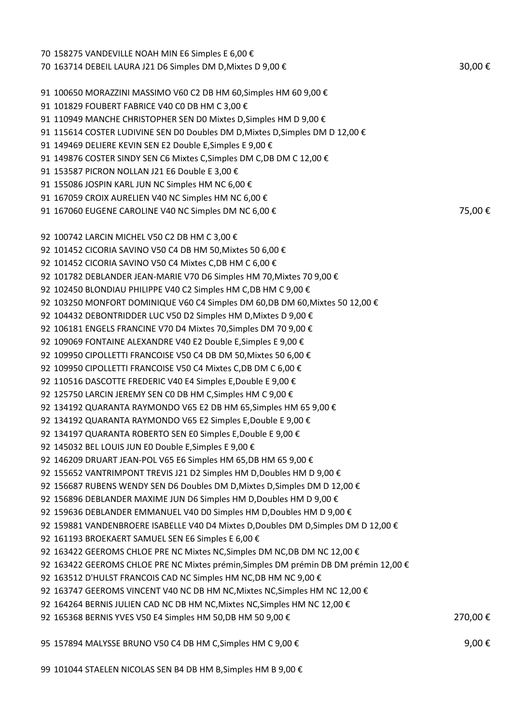| 70 158275 VANDEVILLE NOAH MIN E6 Simples E 6,00 €                                      |         |
|----------------------------------------------------------------------------------------|---------|
| 70 163714 DEBEIL LAURA J21 D6 Simples DM D, Mixtes D 9,00 €                            | 30,00€  |
|                                                                                        |         |
| 91 100650 MORAZZINI MASSIMO V60 C2 DB HM 60,Simples HM 60 9,00 €                       |         |
| 91 101829 FOUBERT FABRICE V40 C0 DB HM C 3,00 €                                        |         |
| 91 110949 MANCHE CHRISTOPHER SEN D0 Mixtes D,Simples HM D 9,00 €                       |         |
| 91 115614 COSTER LUDIVINE SEN D0 Doubles DM D,Mixtes D,Simples DM D 12,00 €            |         |
| 91 149469 DELIERE KEVIN SEN E2 Double E,Simples E 9,00 €                               |         |
| 91 149876 COSTER SINDY SEN C6 Mixtes C,Simples DM C,DB DM C 12,00 €                    |         |
| 91 153587 PICRON NOLLAN J21 E6 Double E 3,00 €                                         |         |
| 91 155086 JOSPIN KARL JUN NC Simples HM NC 6,00 €                                      |         |
| 91 167059 CROIX AURELIEN V40 NC Simples HM NC 6,00 €                                   |         |
| 91 167060 EUGENE CAROLINE V40 NC Simples DM NC 6,00 €                                  | 75,00€  |
|                                                                                        |         |
| 92 100742 LARCIN MICHEL V50 C2 DB HM C 3,00 €                                          |         |
| 92 101452 CICORIA SAVINO V50 C4 DB HM 50,Mixtes 50 6,00 €                              |         |
| 92 101452 CICORIA SAVINO V50 C4 Mixtes C,DB HM C 6,00 €                                |         |
| 92 101782 DEBLANDER JEAN-MARIE V70 D6 Simples HM 70,Mixtes 70 9,00 €                   |         |
| 92 102450 BLONDIAU PHILIPPE V40 C2 Simples HM C,DB HM C 9,00 €                         |         |
| 92 103250 MONFORT DOMINIQUE V60 C4 Simples DM 60,DB DM 60,Mixtes 50 12,00 $\epsilon$   |         |
| 92 104432 DEBONTRIDDER LUC V50 D2 Simples HM D,Mixtes D 9,00 €                         |         |
| 92 106181 ENGELS FRANCINE V70 D4 Mixtes 70,Simples DM 70 9,00 €                        |         |
| 92 109069 FONTAINE ALEXANDRE V40 E2 Double E,Simples E 9,00 €                          |         |
| 92 109950 CIPOLLETTI FRANCOISE V50 C4 DB DM 50,Mixtes 50 6,00 €                        |         |
| 92 109950 CIPOLLETTI FRANCOISE V50 C4 Mixtes C,DB DM C 6,00 €                          |         |
| 92 110516 DASCOTTE FREDERIC V40 E4 Simples E,Double E 9,00 €                           |         |
| 92 125750 LARCIN JEREMY SEN CO DB HM C,Simples HM C 9,00 €                             |         |
| 92 134192 QUARANTA RAYMONDO V65 E2 DB HM 65,Simples HM 65 9,00 €                       |         |
| 92 134192 QUARANTA RAYMONDO V65 E2 Simples E,Double E 9,00 €                           |         |
| 92 134197 QUARANTA ROBERTO SEN E0 Simples E,Double E 9,00 €                            |         |
| 92 145032 BEL LOUIS JUN E0 Double E,Simples E 9,00 €                                   |         |
| 92 146209 DRUART JEAN-POL V65 E6 Simples HM 65,DB HM 65 9,00 €                         |         |
| 92 155652 VANTRIMPONT TREVIS J21 D2 Simples HM D,Doubles HM D 9,00 €                   |         |
| 92 156687 RUBENS WENDY SEN D6 Doubles DM D,Mixtes D,Simples DM D 12,00 $\bm{\epsilon}$ |         |
| 92 156896 DEBLANDER MAXIME JUN D6 Simples HM D,Doubles HM D 9,00 €                     |         |
| 92 159636 DEBLANDER EMMANUEL V40 D0 Simples HM D,Doubles HM D 9,00 €                   |         |
| 92 159881 VANDENBROERE ISABELLE V40 D4 Mixtes D,Doubles DM D,Simples DM D 12,00 €      |         |
|                                                                                        |         |
| 92 161193 BROEKAERT SAMUEL SEN E6 Simples E 6,00 €                                     |         |
| 92 163422 GEEROMS CHLOE PRE NC Mixtes NC,Simples DM NC,DB DM NC 12,00 $\epsilon$       |         |
| 92 163422 GEEROMS CHLOE PRE NC Mixtes prémin, Simples DM prémin DB DM prémin 12,00 €   |         |
| 92 163512 D'HULST FRANCOIS CAD NC Simples HM NC,DB HM NC 9,00 €                        |         |
| 92 163747 GEEROMS VINCENT V40 NC DB HM NC,Mixtes NC,Simples HM NC 12,00 €              |         |
| 92 164264 BERNIS JULIEN CAD NC DB HM NC,Mixtes NC,Simples HM NC 12,00 €                |         |
| 92 165368 BERNIS YVES V50 E4 Simples HM 50,DB HM 50 9,00 €                             | 270,00€ |
| 95 157894 MALYSSE BRUNO V50 C4 DB HM C,Simples HM C 9,00 €                             | 9,00€   |
|                                                                                        |         |

101044 STAELEN NICOLAS SEN B4 DB HM B,Simples HM B 9,00 €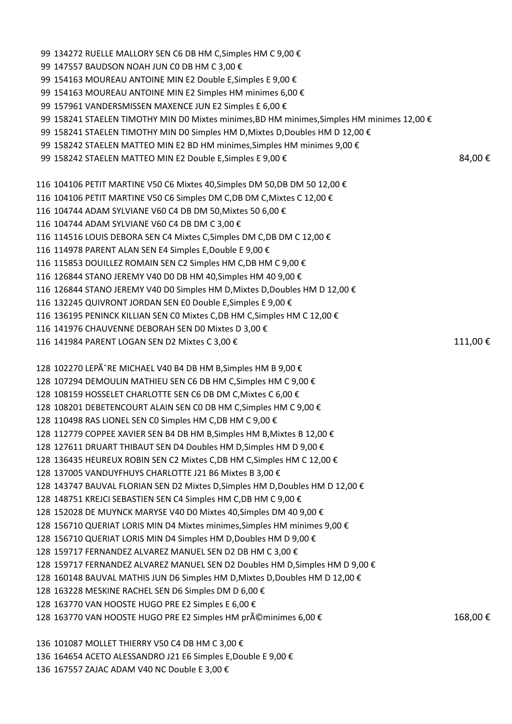99 134272 RUELLE MALLORY SEN C6 DB HM C, Simples HM C 9,00 € 147557 BAUDSON NOAH JUN C0 DB HM C 3,00 € 154163 MOUREAU ANTOINE MIN E2 Double E,Simples E 9,00 € 99 154163 MOUREAU ANTOINE MIN E2 Simples HM minimes 6,00 € 157961 VANDERSMISSEN MAXENCE JUN E2 Simples E 6,00 € 158241 STAELEN TIMOTHY MIN D0 Mixtes minimes,BD HM minimes,Simples HM minimes 12,00 € 158241 STAELEN TIMOTHY MIN D0 Simples HM D,Mixtes D,Doubles HM D 12,00 € 99 158242 STAELEN MATTEO MIN E2 BD HM minimes, Simples HM minimes 9,00 € 99 158242 STAELEN MATTEO MIN E2 Double E,Simples E 9,00 €  $84,00 \in$  104106 PETIT MARTINE V50 C6 Mixtes 40,Simples DM 50,DB DM 50 12,00 € 104106 PETIT MARTINE V50 C6 Simples DM C,DB DM C,Mixtes C 12,00 € 104744 ADAM SYLVIANE V60 C4 DB DM 50,Mixtes 50 6,00 € 104744 ADAM SYLVIANE V60 C4 DB DM C 3,00 € 114516 LOUIS DEBORA SEN C4 Mixtes C,Simples DM C,DB DM C 12,00 € 114978 PARENT ALAN SEN E4 Simples E,Double E 9,00 € 115853 DOUILLEZ ROMAIN SEN C2 Simples HM C,DB HM C 9,00 € 126844 STANO JEREMY V40 D0 DB HM 40,Simples HM 40 9,00 € 126844 STANO JEREMY V40 D0 Simples HM D,Mixtes D,Doubles HM D 12,00 € 132245 QUIVRONT JORDAN SEN E0 Double E,Simples E 9,00 € 136195 PENINCK KILLIAN SEN C0 Mixtes C,DB HM C,Simples HM C 12,00 € 141976 CHAUVENNE DEBORAH SEN D0 Mixtes D 3,00 € 116 141984 PARENT LOGAN SEN D2 Mixtes C 3,00 € 111,00 € 111,00 € 128 102270 LEPÃ RE MICHAEL V40 B4 DB HM B, Simples HM B 9,00  $\epsilon$  107294 DEMOULIN MATHIEU SEN C6 DB HM C,Simples HM C 9,00 € 108159 HOSSELET CHARLOTTE SEN C6 DB DM C,Mixtes C 6,00 € 108201 DEBETENCOURT ALAIN SEN C0 DB HM C,Simples HM C 9,00 € 110498 RAS LIONEL SEN C0 Simples HM C,DB HM C 9,00 € 112779 COPPEE XAVIER SEN B4 DB HM B,Simples HM B,Mixtes B 12,00 € 127611 DRUART THIBAUT SEN D4 Doubles HM D,Simples HM D 9,00 € 136435 HEUREUX ROBIN SEN C2 Mixtes C,DB HM C,Simples HM C 12,00 € 137005 VANDUYFHUYS CHARLOTTE J21 B6 Mixtes B 3,00 € 143747 BAUVAL FLORIAN SEN D2 Mixtes D,Simples HM D,Doubles HM D 12,00 € 148751 KREJCI SEBASTIEN SEN C4 Simples HM C,DB HM C 9,00 € 152028 DE MUYNCK MARYSE V40 D0 Mixtes 40,Simples DM 40 9,00 € 156710 QUERIAT LORIS MIN D4 Mixtes minimes,Simples HM minimes 9,00 € 156710 QUERIAT LORIS MIN D4 Simples HM D,Doubles HM D 9,00 € 159717 FERNANDEZ ALVAREZ MANUEL SEN D2 DB HM C 3,00 € 159717 FERNANDEZ ALVAREZ MANUEL SEN D2 Doubles HM D,Simples HM D 9,00 € 160148 BAUVAL MATHIS JUN D6 Simples HM D,Mixtes D,Doubles HM D 12,00 € 163228 MESKINE RACHEL SEN D6 Simples DM D 6,00 € 163770 VAN HOOSTE HUGO PRE E2 Simples E 6,00 € 128 163770 VAN HOOSTE HUGO PRE E2 Simples HM préminimes 6,00 € 168,00 € 168,00 € 101087 MOLLET THIERRY V50 C4 DB HM C 3,00 € 164654 ACETO ALESSANDRO J21 E6 Simples E,Double E 9,00 €

167557 ZAJAC ADAM V40 NC Double E 3,00 €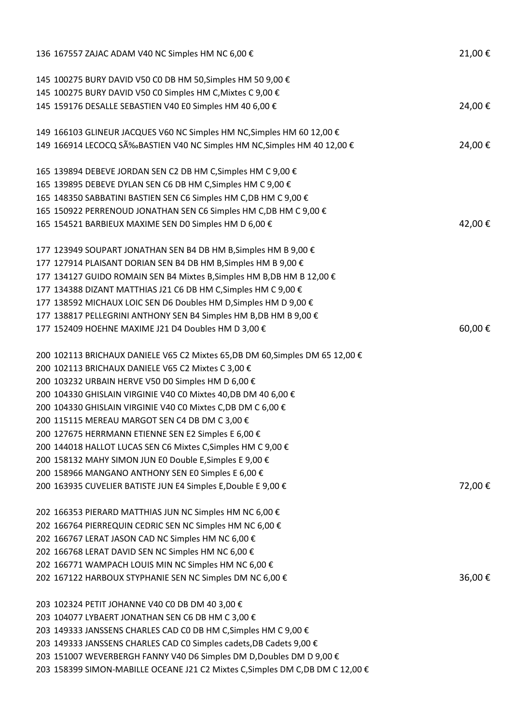| 136 167557 ZAJAC ADAM V40 NC Simples HM NC 6,00 €                              | 21,00€ |
|--------------------------------------------------------------------------------|--------|
| 145 100275 BURY DAVID V50 C0 DB HM 50, Simples HM 50 9,00 €                    |        |
| 145 100275 BURY DAVID V50 C0 Simples HM C, Mixtes C 9,00 €                     |        |
| 145 159176 DESALLE SEBASTIEN V40 E0 Simples HM 40 6,00 €                       | 24,00€ |
| 149 166103 GLINEUR JACQUES V60 NC Simples HM NC, Simples HM 60 12,00 €         |        |
| 149 166914 LECOCQ SÉBASTIEN V40 NC Simples HM NC, Simples HM 40 12,00 €        | 24,00€ |
| 165 139894 DEBEVE JORDAN SEN C2 DB HM C, Simples HM C 9,00 €                   |        |
| 165 139895 DEBEVE DYLAN SEN C6 DB HM C, Simples HM C 9,00 €                    |        |
| 165 148350 SABBATINI BASTIEN SEN C6 Simples HM C, DB HM C 9,00 €               |        |
| 165 150922 PERRENOUD JONATHAN SEN C6 Simples HM C,DB HM C 9,00 €               |        |
| 165 154521 BARBIEUX MAXIME SEN DO Simples HM D 6,00 €                          | 42,00€ |
| 177 123949 SOUPART JONATHAN SEN B4 DB HM B, Simples HM B 9,00 €                |        |
| 177 127914 PLAISANT DORIAN SEN B4 DB HM B, Simples HM B 9,00 €                 |        |
| 177 134127 GUIDO ROMAIN SEN B4 Mixtes B, Simples HM B, DB HM B 12,00 €         |        |
| 177 134388 DIZANT MATTHIAS J21 C6 DB HM C, Simples HM C 9,00 €                 |        |
| 177 138592 MICHAUX LOIC SEN D6 Doubles HM D, Simples HM D 9,00 €               |        |
| 177 138817 PELLEGRINI ANTHONY SEN B4 Simples HM B, DB HM B 9,00 €              |        |
| 177 152409 HOEHNE MAXIME J21 D4 Doubles HM D 3,00 €                            | 60,00€ |
| 200 102113 BRICHAUX DANIELE V65 C2 Mixtes 65,DB DM 60,Simples DM 65 12,00 €    |        |
| 200 102113 BRICHAUX DANIELE V65 C2 Mixtes C 3,00 €                             |        |
| 200 103232 URBAIN HERVE V50 D0 Simples HM D 6,00 €                             |        |
| 200 104330 GHISLAIN VIRGINIE V40 C0 Mixtes 40,DB DM 40 6,00 €                  |        |
| 200 104330 GHISLAIN VIRGINIE V40 CO Mixtes C,DB DM C 6,00 €                    |        |
| 200 115115 MEREAU MARGOT SEN C4 DB DM C 3,00 €                                 |        |
| 200 127675 HERRMANN ETIENNE SEN E2 Simples E 6,00 €                            |        |
| 200 144018 HALLOT LUCAS SEN C6 Mixtes C, Simples HM C 9,00 €                   |        |
| 200 158132 MAHY SIMON JUN E0 Double E, Simples E 9,00 €                        |        |
| 200 158966 MANGANO ANTHONY SEN E0 Simples E 6,00 €                             |        |
| 200 163935 CUVELIER BATISTE JUN E4 Simples E, Double E 9,00 €                  | 72,00€ |
| 202 166353 PIERARD MATTHIAS JUN NC Simples HM NC 6,00 €                        |        |
| 202 166764 PIERREQUIN CEDRIC SEN NC Simples HM NC 6,00 €                       |        |
| 202 166767 LERAT JASON CAD NC Simples HM NC 6,00 €                             |        |
| 202 166768 LERAT DAVID SEN NC Simples HM NC 6,00 €                             |        |
| 202 166771 WAMPACH LOUIS MIN NC Simples HM NC 6,00 €                           |        |
| 202 167122 HARBOUX STYPHANIE SEN NC Simples DM NC 6,00 €                       | 36,00€ |
| 203 102324 PETIT JOHANNE V40 C0 DB DM 40 3,00 €                                |        |
| 203 104077 LYBAERT JONATHAN SEN C6 DB HM C 3,00 €                              |        |
| 203 149333 JANSSENS CHARLES CAD CO DB HM C, Simples HM C 9,00 €                |        |
| 203 149333 JANSSENS CHARLES CAD CO Simples cadets, DB Cadets 9,00 €            |        |
| 203 151007 WEVERBERGH FANNY V40 D6 Simples DM D, Doubles DM D 9,00 €           |        |
| 203 158399 SIMON-MABILLE OCEANE J21 C2 Mixtes C, Simples DM C, DB DM C 12,00 € |        |
|                                                                                |        |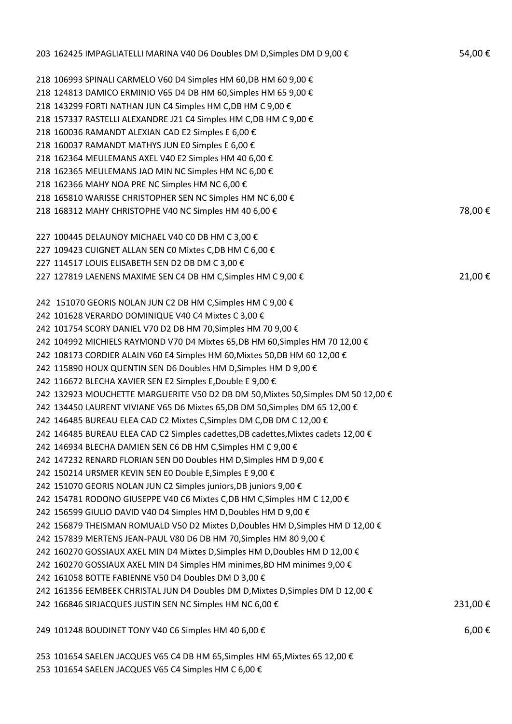| 203 162425 IMPAGLIATELLI MARINA V40 D6 Doubles DM D, Simples DM D 9,00 €           | 54,00€     |
|------------------------------------------------------------------------------------|------------|
| 218 106993 SPINALI CARMELO V60 D4 Simples HM 60, DB HM 60 9,00 €                   |            |
| 218 124813 DAMICO ERMINIO V65 D4 DB HM 60, Simples HM 65 9,00 €                    |            |
| 218 143299 FORTI NATHAN JUN C4 Simples HM C, DB HM C 9,00 €                        |            |
| 218 157337 RASTELLI ALEXANDRE J21 C4 Simples HM C,DB HM C 9,00 €                   |            |
| 218 160036 RAMANDT ALEXIAN CAD E2 Simples E 6,00 €                                 |            |
| 218 160037 RAMANDT MATHYS JUN E0 Simples E 6,00 €                                  |            |
| 218 162364 MEULEMANS AXEL V40 E2 Simples HM 40 6,00 €                              |            |
| 218 162365 MEULEMANS JAO MIN NC Simples HM NC 6,00 €                               |            |
| 218 162366 MAHY NOA PRE NC Simples HM NC 6,00 €                                    |            |
| 218 165810 WARISSE CHRISTOPHER SEN NC Simples HM NC 6,00 €                         |            |
| 218 168312 MAHY CHRISTOPHE V40 NC Simples HM 40 6,00 €                             | 78,00€     |
| 227 100445 DELAUNOY MICHAEL V40 C0 DB HM C 3,00 €                                  |            |
| 227 109423 CUIGNET ALLAN SEN CO Mixtes C,DB HM C 6,00 €                            |            |
| 227 114517 LOUIS ELISABETH SEN D2 DB DM C 3,00 €                                   |            |
| 227 127819 LAENENS MAXIME SEN C4 DB HM C, Simples HM C 9,00 €                      | 21,00€     |
| 242 151070 GEORIS NOLAN JUN C2 DB HM C, Simples HM C 9,00 €                        |            |
| 242 101628 VERARDO DOMINIQUE V40 C4 Mixtes C 3,00 €                                |            |
| 242 101754 SCORY DANIEL V70 D2 DB HM 70, Simples HM 70 9,00 €                      |            |
| 242 104992 MICHIELS RAYMOND V70 D4 Mixtes 65, DB HM 60, Simples HM 70 12, 00 €     |            |
| 242 108173 CORDIER ALAIN V60 E4 Simples HM 60, Mixtes 50, DB HM 60 12, 00 €        |            |
| 242 115890 HOUX QUENTIN SEN D6 Doubles HM D, Simples HM D 9,00 €                   |            |
| 242 116672 BLECHA XAVIER SEN E2 Simples E, Double E 9,00 €                         |            |
| 242 132923 MOUCHETTE MARGUERITE V50 D2 DB DM 50, Mixtes 50, Simples DM 50 12, 00 € |            |
| 242 134450 LAURENT VIVIANE V65 D6 Mixtes 65, DB DM 50, Simples DM 65 12, 00 €      |            |
| 242 146485 BUREAU ELEA CAD C2 Mixtes C, Simples DM C, DB DM C 12,00 €              |            |
| 242 146485 BUREAU ELEA CAD C2 Simples cadettes, DB cadettes, Mixtes cadets 12,00 € |            |
| 242 146934 BLECHA DAMIEN SEN C6 DB HM C, Simples HM C 9,00 €                       |            |
| 242 147232 RENARD FLORIAN SEN DO Doubles HM D, Simples HM D 9,00 €                 |            |
| 242 150214 URSMER KEVIN SEN E0 Double E, Simples E 9,00 €                          |            |
| 242 151070 GEORIS NOLAN JUN C2 Simples juniors, DB juniors 9,00 €                  |            |
| 242 154781 RODONO GIUSEPPE V40 C6 Mixtes C,DB HM C,Simples HM C 12,00 €            |            |
| 242 156599 GIULIO DAVID V40 D4 Simples HM D, Doubles HM D 9,00 €                   |            |
| 242 156879 THEISMAN ROMUALD V50 D2 Mixtes D, Doubles HM D, Simples HM D 12,00 €    |            |
| 242 157839 MERTENS JEAN-PAUL V80 D6 DB HM 70, Simples HM 80 9,00 €                 |            |
| 242 160270 GOSSIAUX AXEL MIN D4 Mixtes D, Simples HM D, Doubles HM D 12,00 €       |            |
| 242 160270 GOSSIAUX AXEL MIN D4 Simples HM minimes, BD HM minimes 9,00 €           |            |
| 242 161058 BOTTE FABIENNE V50 D4 Doubles DM D 3,00 €                               |            |
| 242 161356 EEMBEEK CHRISTAL JUN D4 Doubles DM D, Mixtes D, Simples DM D 12,00 €    |            |
| 242 166846 SIRJACQUES JUSTIN SEN NC Simples HM NC 6,00 €                           | 231,00€    |
| 249 101248 BOUDINET TONY V40 C6 Simples HM 40 6,00 €                               | $6,00 \in$ |
| 253 101654 SAELEN JACQUES V65 C4 DB HM 65, Simples HM 65, Mixtes 65 12, 00 €       |            |

101654 SAELEN JACQUES V65 C4 Simples HM C 6,00 €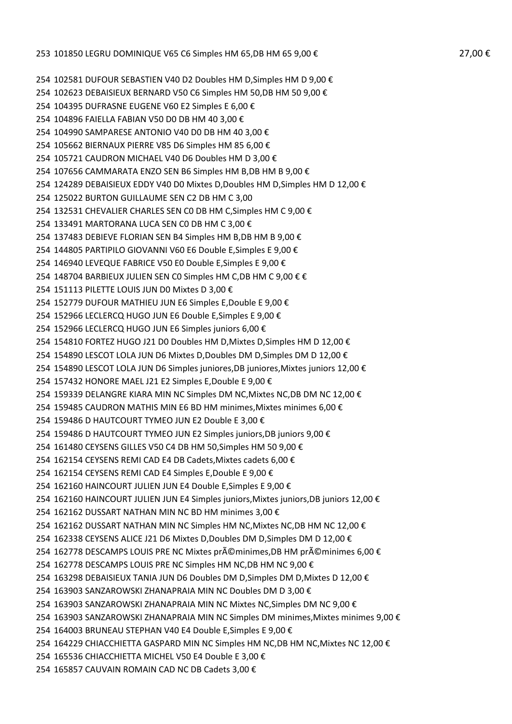102581 DUFOUR SEBASTIEN V40 D2 Doubles HM D,Simples HM D 9,00 € 102623 DEBAISIEUX BERNARD V50 C6 Simples HM 50,DB HM 50 9,00 € 104395 DUFRASNE EUGENE V60 E2 Simples E 6,00 € 104896 FAIELLA FABIAN V50 D0 DB HM 40 3,00 € 104990 SAMPARESE ANTONIO V40 D0 DB HM 40 3,00 € 105662 BIERNAUX PIERRE V85 D6 Simples HM 85 6,00 € 105721 CAUDRON MICHAEL V40 D6 Doubles HM D 3,00 € 107656 CAMMARATA ENZO SEN B6 Simples HM B,DB HM B 9,00 € 124289 DEBAISIEUX EDDY V40 D0 Mixtes D,Doubles HM D,Simples HM D 12,00 € 125022 BURTON GUILLAUME SEN C2 DB HM C 3,00 132531 CHEVALIER CHARLES SEN C0 DB HM C,Simples HM C 9,00 € 133491 MARTORANA LUCA SEN C0 DB HM C 3,00 € 137483 DEBIEVE FLORIAN SEN B4 Simples HM B,DB HM B 9,00 € 144805 PARTIPILO GIOVANNI V60 E6 Double E,Simples E 9,00 € 146940 LEVEQUE FABRICE V50 E0 Double E,Simples E 9,00 € 148704 BARBIEUX JULIEN SEN C0 Simples HM C,DB HM C 9,00 € € 151113 PILETTE LOUIS JUN D0 Mixtes D 3,00 € 152779 DUFOUR MATHIEU JUN E6 Simples E,Double E 9,00 € 152966 LECLERCQ HUGO JUN E6 Double E,Simples E 9,00 € 152966 LECLERCQ HUGO JUN E6 Simples juniors 6,00 € 154810 FORTEZ HUGO J21 D0 Doubles HM D,Mixtes D,Simples HM D 12,00 € 154890 LESCOT LOLA JUN D6 Mixtes D,Doubles DM D,Simples DM D 12,00 € 154890 LESCOT LOLA JUN D6 Simples juniores,DB juniores,Mixtes juniors 12,00 € 157432 HONORE MAEL J21 E2 Simples E,Double E 9,00 € 159339 DELANGRE KIARA MIN NC Simples DM NC,Mixtes NC,DB DM NC 12,00 € 159485 CAUDRON MATHIS MIN E6 BD HM minimes,Mixtes minimes 6,00 € 159486 D HAUTCOURT TYMEO JUN E2 Double E 3,00 € 159486 D HAUTCOURT TYMEO JUN E2 Simples juniors,DB juniors 9,00 € 161480 CEYSENS GILLES V50 C4 DB HM 50,Simples HM 50 9,00 € 162154 CEYSENS REMI CAD E4 DB Cadets,Mixtes cadets 6,00 € 162154 CEYSENS REMI CAD E4 Simples E,Double E 9,00 € 162160 HAINCOURT JULIEN JUN E4 Double E,Simples E 9,00 € 162160 HAINCOURT JULIEN JUN E4 Simples juniors,Mixtes juniors,DB juniors 12,00 € 162162 DUSSART NATHAN MIN NC BD HM minimes 3,00 € 162162 DUSSART NATHAN MIN NC Simples HM NC,Mixtes NC,DB HM NC 12,00 € 162338 CEYSENS ALICE J21 D6 Mixtes D,Doubles DM D,Simples DM D 12,00 € 254 162778 DESCAMPS LOUIS PRE NC Mixtes préminimes,DB HM préminimes 6,00 € 162778 DESCAMPS LOUIS PRE NC Simples HM NC,DB HM NC 9,00 € 163298 DEBAISIEUX TANIA JUN D6 Doubles DM D,Simples DM D,Mixtes D 12,00 € 163903 SANZAROWSKI ZHANAPRAIA MIN NC Doubles DM D 3,00 € 163903 SANZAROWSKI ZHANAPRAIA MIN NC Mixtes NC,Simples DM NC 9,00 € 163903 SANZAROWSKI ZHANAPRAIA MIN NC Simples DM minimes,Mixtes minimes 9,00 € 164003 BRUNEAU STEPHAN V40 E4 Double E,Simples E 9,00 € 164229 CHIACCHIETTA GASPARD MIN NC Simples HM NC,DB HM NC,Mixtes NC 12,00 € 165536 CHIACCHIETTA MICHEL V50 E4 Double E 3,00 € 165857 CAUVAIN ROMAIN CAD NC DB Cadets 3,00 €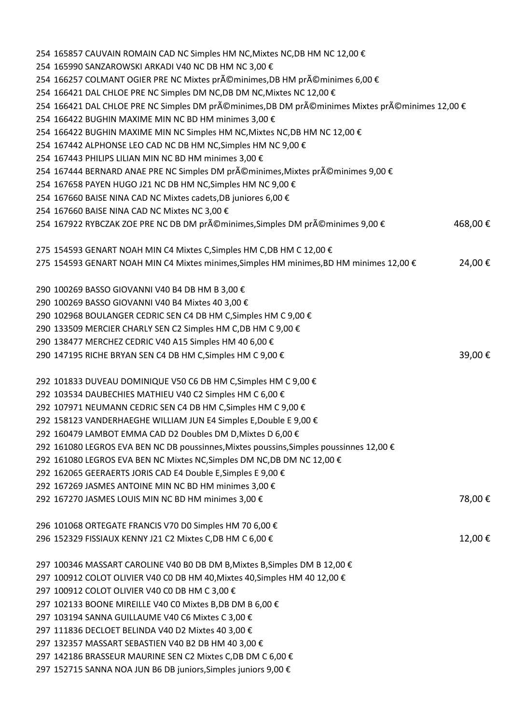| 254 165857 CAUVAIN ROMAIN CAD NC Simples HM NC, Mixtes NC, DB HM NC 12,00 €                                                 |         |
|-----------------------------------------------------------------------------------------------------------------------------|---------|
| 254 165990 SANZAROWSKI ARKADI V40 NC DB HM NC 3,00 €                                                                        |         |
| 254 166257 COLMANT OGIER PRE NC Mixtes préminimes, DB HM préminimes 6,00 €                                                  |         |
| 254 166421 DAL CHLOE PRE NC Simples DM NC, DB DM NC, Mixtes NC 12,00 €                                                      |         |
| 254 166421 DAL CHLOE PRE NC Simples DM préminimes,DB DM préminimes Mixtes préminimes 12,00 €                                |         |
| 254 166422 BUGHIN MAXIME MIN NC BD HM minimes 3,00 €                                                                        |         |
| 254 166422 BUGHIN MAXIME MIN NC Simples HM NC, Mixtes NC, DB HM NC 12,00 €                                                  |         |
| 254 167442 ALPHONSE LEO CAD NC DB HM NC, Simples HM NC 9,00 €                                                               |         |
| 254 167443 PHILIPS LILIAN MIN NC BD HM minimes 3,00 €                                                                       |         |
| 254 167444 BERNARD ANAE PRE NC Simples DM préminimes, Mixtes préminimes 9,00 €                                              |         |
| 254 167658 PAYEN HUGO J21 NC DB HM NC, Simples HM NC 9,00 €                                                                 |         |
| 254 167660 BAISE NINA CAD NC Mixtes cadets, DB juniores 6,00 €                                                              |         |
| 254 167660 BAISE NINA CAD NC Mixtes NC 3,00 €                                                                               |         |
| 254 167922 RYBCZAK ZOE PRE NC DB DM préminimes, Simples DM préminimes 9,00 €                                                | 468,00€ |
|                                                                                                                             |         |
| 275 154593 GENART NOAH MIN C4 Mixtes C, Simples HM C, DB HM C 12,00 €                                                       |         |
| 275 154593 GENART NOAH MIN C4 Mixtes minimes, Simples HM minimes, BD HM minimes 12,00 €                                     | 24,00€  |
|                                                                                                                             |         |
| 290 100269 BASSO GIOVANNI V40 B4 DB HM B 3,00 €                                                                             |         |
| 290 100269 BASSO GIOVANNI V40 B4 Mixtes 40 3,00 €                                                                           |         |
| 290 102968 BOULANGER CEDRIC SEN C4 DB HM C, Simples HM C 9,00 €                                                             |         |
| 290 133509 MERCIER CHARLY SEN C2 Simples HM C, DB HM C 9,00 €                                                               |         |
|                                                                                                                             |         |
| 290 138477 MERCHEZ CEDRIC V40 A15 Simples HM 40 6,00 €                                                                      |         |
| 290 147195 RICHE BRYAN SEN C4 DB HM C, Simples HM C 9,00 €                                                                  | 39,00€  |
|                                                                                                                             |         |
| 292 101833 DUVEAU DOMINIQUE V50 C6 DB HM C, Simples HM C 9,00 €<br>292 103534 DAUBECHIES MATHIEU V40 C2 Simples HM C 6,00 € |         |
|                                                                                                                             |         |
| 292 107971 NEUMANN CEDRIC SEN C4 DB HM C, Simples HM C 9,00 €                                                               |         |
| 292 158123 VANDERHAEGHE WILLIAM JUN E4 Simples E, Double E 9,00 €                                                           |         |
| 292 160479 LAMBOT EMMA CAD D2 Doubles DM D, Mixtes D 6,00 €                                                                 |         |
| 292 161080 LEGROS EVA BEN NC DB poussinnes, Mixtes poussins, Simples poussinnes 12,00 €                                     |         |
| 292 161080 LEGROS EVA BEN NC Mixtes NC, Simples DM NC, DB DM NC 12,00 €                                                     |         |
| 292 162065 GEERAERTS JORIS CAD E4 Double E, Simples E 9,00 €                                                                |         |
| 292 167269 JASMES ANTOINE MIN NC BD HM minimes 3,00 €                                                                       |         |
| 292 167270 JASMES LOUIS MIN NC BD HM minimes 3,00 €                                                                         | 78,00€  |
|                                                                                                                             |         |
| 296 101068 ORTEGATE FRANCIS V70 D0 Simples HM 70 6,00 €                                                                     |         |
| 296 152329 FISSIAUX KENNY J21 C2 Mixtes C, DB HM C 6,00 €                                                                   | 12,00€  |
|                                                                                                                             |         |
| 297 100346 MASSART CAROLINE V40 B0 DB DM B, Mixtes B, Simples DM B 12,00 €                                                  |         |
| 297 100912 COLOT OLIVIER V40 C0 DB HM 40, Mixtes 40, Simples HM 40 12,00 €                                                  |         |
| 297 100912 COLOT OLIVIER V40 C0 DB HM C 3,00 €                                                                              |         |
| 297 102133 BOONE MIREILLE V40 C0 Mixtes B,DB DM B 6,00 €                                                                    |         |
| 297 103194 SANNA GUILLAUME V40 C6 Mixtes C 3,00 €                                                                           |         |
| 297 111836 DECLOET BELINDA V40 D2 Mixtes 40 3,00 €                                                                          |         |
| 297 132357 MASSART SEBASTIEN V40 B2 DB HM 40 3,00 €                                                                         |         |
| 297 142186 BRASSEUR MAURINE SEN C2 Mixtes C,DB DM C 6,00 €                                                                  |         |
| 297 152715 SANNA NOA JUN B6 DB juniors, Simples juniors 9,00 €                                                              |         |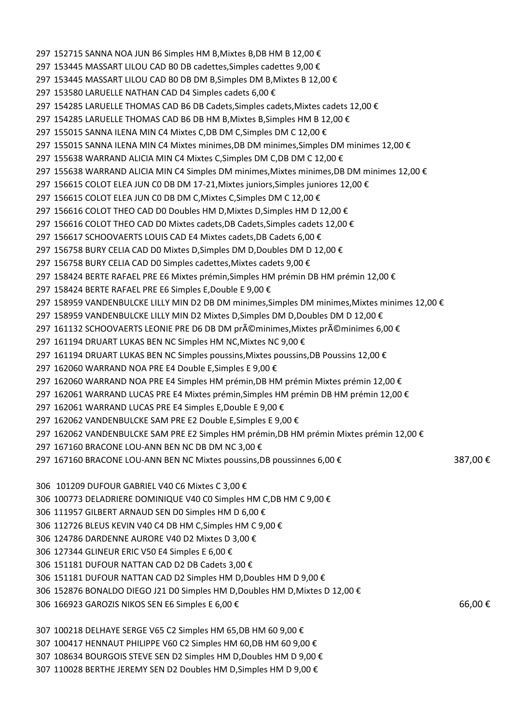152715 SANNA NOA JUN B6 Simples HM B,Mixtes B,DB HM B 12,00 € 153445 MASSART LILOU CAD B0 DB cadettes,Simples cadettes 9,00 € 153445 MASSART LILOU CAD B0 DB DM B,Simples DM B,Mixtes B 12,00 € 153580 LARUELLE NATHAN CAD D4 Simples cadets 6,00 € 154285 LARUELLE THOMAS CAD B6 DB Cadets,Simples cadets,Mixtes cadets 12,00 € 297 154285 LARUELLE THOMAS CAD B6 DB HM B, Mixtes B, Simples HM B 12,00 € 155015 SANNA ILENA MIN C4 Mixtes C,DB DM C,Simples DM C 12,00 € 155015 SANNA ILENA MIN C4 Mixtes minimes,DB DM minimes,Simples DM minimes 12,00 € 297 155638 WARRAND ALICIA MIN C4 Mixtes C, Simples DM C, DB DM C 12,00  $\epsilon$  155638 WARRAND ALICIA MIN C4 Simples DM minimes,Mixtes minimes,DB DM minimes 12,00 € 156615 COLOT ELEA JUN C0 DB DM 17-21,Mixtes juniors,Simples juniores 12,00 € 156615 COLOT ELEA JUN C0 DB DM C,Mixtes C,Simples DM C 12,00 € 156616 COLOT THEO CAD D0 Doubles HM D,Mixtes D,Simples HM D 12,00 € 156616 COLOT THEO CAD D0 Mixtes cadets,DB Cadets,Simples cadets 12,00 € 156617 SCHOOVAERTS LOUIS CAD E4 Mixtes cadets,DB Cadets 6,00 € 156758 BURY CELIA CAD D0 Mixtes D,Simples DM D,Doubles DM D 12,00 € 156758 BURY CELIA CAD D0 Simples cadettes,Mixtes cadets 9,00 € 158424 BERTE RAFAEL PRE E6 Mixtes prémin,Simples HM prémin DB HM prémin 12,00 € 158424 BERTE RAFAEL PRE E6 Simples E,Double E 9,00 € 297 158959 VANDENBULCKE LILLY MIN D2 DB DM minimes,Simples DM minimes,Mixtes minimes 12,00 € 158959 VANDENBULCKE LILLY MIN D2 Mixtes D,Simples DM D,Doubles DM D 12,00 € 297 161132 SCHOOVAERTS LEONIE PRE D6 DB DM préminimes,Mixtes préminimes 6,00 € 161194 DRUART LUKAS BEN NC Simples HM NC,Mixtes NC 9,00 € 161194 DRUART LUKAS BEN NC Simples poussins,Mixtes poussins,DB Poussins 12,00 € 162060 WARRAND NOA PRE E4 Double E,Simples E 9,00 € 162060 WARRAND NOA PRE E4 Simples HM prémin,DB HM prémin Mixtes prémin 12,00 € 162061 WARRAND LUCAS PRE E4 Mixtes prémin,Simples HM prémin DB HM prémin 12,00 € 162061 WARRAND LUCAS PRE E4 Simples E,Double E 9,00 € 162062 VANDENBULCKE SAM PRE E2 Double E,Simples E 9,00 € 162062 VANDENBULCKE SAM PRE E2 Simples HM prémin,DB HM prémin Mixtes prémin 12,00 € 167160 BRACONE LOU-ANN BEN NC DB DM NC 3,00 € 297 167160 BRACONE LOU-ANN BEN NC Mixtes poussins,DB poussinnes 6,00 € 387,00 € 101209 DUFOUR GABRIEL V40 C6 Mixtes C 3,00 € 100773 DELADRIERE DOMINIQUE V40 C0 Simples HM C,DB HM C 9,00 € 111957 GILBERT ARNAUD SEN D0 Simples HM D 6,00 € 112726 BLEUS KEVIN V40 C4 DB HM C,Simples HM C 9,00 € 124786 DARDENNE AURORE V40 D2 Mixtes D 3,00 € 127344 GLINEUR ERIC V50 E4 Simples E 6,00 € 151181 DUFOUR NATTAN CAD D2 DB Cadets 3,00 €

- 151181 DUFOUR NATTAN CAD D2 Simples HM D,Doubles HM D 9,00 €
- 152876 BONALDO DIEGO J21 D0 Simples HM D,Doubles HM D,Mixtes D 12,00 €
- 306 166923 GAROZIS NIKOS SEN E6 Simples E 6,00 € 66,00 € 66,00 € 66,00 € 66,00 € 66,00 € 66,00 € 66,00 € 66,00
- 100218 DELHAYE SERGE V65 C2 Simples HM 65,DB HM 60 9,00 €
- 100417 HENNAUT PHILIPPE V60 C2 Simples HM 60,DB HM 60 9,00 €
- 108634 BOURGOIS STEVE SEN D2 Simples HM D,Doubles HM D 9,00 €
- 110028 BERTHE JEREMY SEN D2 Doubles HM D,Simples HM D 9,00 €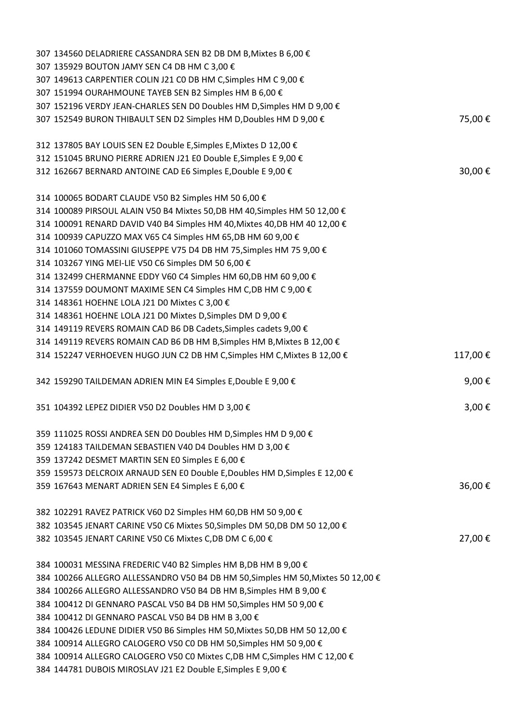| 307 134560 DELADRIERE CASSANDRA SEN B2 DB DM B, Mixtes B 6,00 €                                                                          |                 |
|------------------------------------------------------------------------------------------------------------------------------------------|-----------------|
| 307 135929 BOUTON JAMY SEN C4 DB HM C 3,00 €                                                                                             |                 |
| 307 149613 CARPENTIER COLIN J21 C0 DB HM C, Simples HM C 9,00 €                                                                          |                 |
| 307 151994 OURAHMOUNE TAYEB SEN B2 Simples HM B 6,00 €                                                                                   |                 |
| 307 152196 VERDY JEAN-CHARLES SEN DO Doubles HM D, Simples HM D 9,00 €                                                                   |                 |
| 307 152549 BURON THIBAULT SEN D2 Simples HM D, Doubles HM D 9,00 €                                                                       | 75,00€          |
|                                                                                                                                          |                 |
| 312 137805 BAY LOUIS SEN E2 Double E, Simples E, Mixtes D 12,00 €                                                                        |                 |
| 312 151045 BRUNO PIERRE ADRIEN J21 E0 Double E, Simples E 9,00 €                                                                         |                 |
| 312 162667 BERNARD ANTOINE CAD E6 Simples E, Double E 9,00 €                                                                             | 30,00€          |
|                                                                                                                                          |                 |
| 314 100065 BODART CLAUDE V50 B2 Simples HM 50 6,00 €<br>314 100089 PIRSOUL ALAIN V50 B4 Mixtes 50, DB HM 40, Simples HM 50 12, 00 €      |                 |
| 314 100091 RENARD DAVID V40 B4 Simples HM 40, Mixtes 40, DB HM 40 12, 00 €                                                               |                 |
| 314 100939 CAPUZZO MAX V65 C4 Simples HM 65, DB HM 60 9,00 €                                                                             |                 |
| 314 101060 TOMASSINI GIUSEPPE V75 D4 DB HM 75, Simples HM 75 9,00 €                                                                      |                 |
| 314 103267 YING MEI-LIE V50 C6 Simples DM 50 6,00 €                                                                                      |                 |
| 314 132499 CHERMANNE EDDY V60 C4 Simples HM 60, DB HM 60 9,00 €                                                                          |                 |
| 314 137559 DOUMONT MAXIME SEN C4 Simples HM C, DB HM C 9,00 €                                                                            |                 |
| 314 148361 HOEHNE LOLA J21 D0 Mixtes C 3,00 €                                                                                            |                 |
| 314 148361 HOEHNE LOLA J21 D0 Mixtes D, Simples DM D 9,00 €                                                                              |                 |
| 314 149119 REVERS ROMAIN CAD B6 DB Cadets, Simples cadets 9,00 €                                                                         |                 |
| 314 149119 REVERS ROMAIN CAD B6 DB HM B, Simples HM B, Mixtes B 12,00 €                                                                  |                 |
| 314 152247 VERHOEVEN HUGO JUN C2 DB HM C, Simples HM C, Mixtes B 12,00 €                                                                 | 117,00€         |
|                                                                                                                                          |                 |
| 342 159290 TAILDEMAN ADRIEN MIN E4 Simples E, Double E 9,00 €                                                                            | 9,00 $\epsilon$ |
|                                                                                                                                          |                 |
| 351 104392 LEPEZ DIDIER V50 D2 Doubles HM D 3,00 €                                                                                       | 3,00 $\epsilon$ |
|                                                                                                                                          |                 |
| 359 111025 ROSSI ANDREA SEN DO Doubles HM D, Simples HM D 9,00 €                                                                         |                 |
| 359 124183 TAILDEMAN SEBASTIEN V40 D4 Doubles HM D 3,00 €                                                                                |                 |
| 359 137242 DESMET MARTIN SEN E0 Simples E 6,00 €                                                                                         |                 |
| 359 159573 DELCROIX ARNAUD SEN E0 Double E, Doubles HM D, Simples E 12,00 €                                                              |                 |
| 359 167643 MENART ADRIEN SEN E4 Simples E 6,00 €                                                                                         | 36,00€          |
|                                                                                                                                          |                 |
| 382 102291 RAVEZ PATRICK V60 D2 Simples HM 60, DB HM 50 9,00 €                                                                           |                 |
| 382 103545 JENART CARINE V50 C6 Mixtes 50, Simples DM 50, DB DM 50 12, 00 €<br>382 103545 JENART CARINE V50 C6 Mixtes C,DB DM C 6,00 €   | 27,00€          |
|                                                                                                                                          |                 |
| 384 100031 MESSINA FREDERIC V40 B2 Simples HM B,DB HM B 9,00 €                                                                           |                 |
| 384 100266 ALLEGRO ALLESSANDRO V50 B4 DB HM 50, Simples HM 50, Mixtes 50 12, 00 €                                                        |                 |
| 384 100266 ALLEGRO ALLESSANDRO V50 B4 DB HM B, Simples HM B 9,00 €                                                                       |                 |
| 384 100412 DI GENNARO PASCAL V50 B4 DB HM 50, Simples HM 50 9,00 €                                                                       |                 |
| 384 100412 DI GENNARO PASCAL V50 B4 DB HM B 3,00 €                                                                                       |                 |
| 384 100426 LEDUNE DIDIER V50 B6 Simples HM 50, Mixtes 50, DB HM 50 12, 00 €                                                              |                 |
| 384 100914 ALLEGRO CALOGERO V50 C0 DB HM 50, Simples HM 50 9,00 €                                                                        |                 |
| 384 100914 ALLEGRO CALOGERO V50 C0 Mixtes C,DB HM C,Simples HM C 12,00 €<br>384 144781 DUBOIS MIROSLAV J21 E2 Double E, Simples E 9,00 € |                 |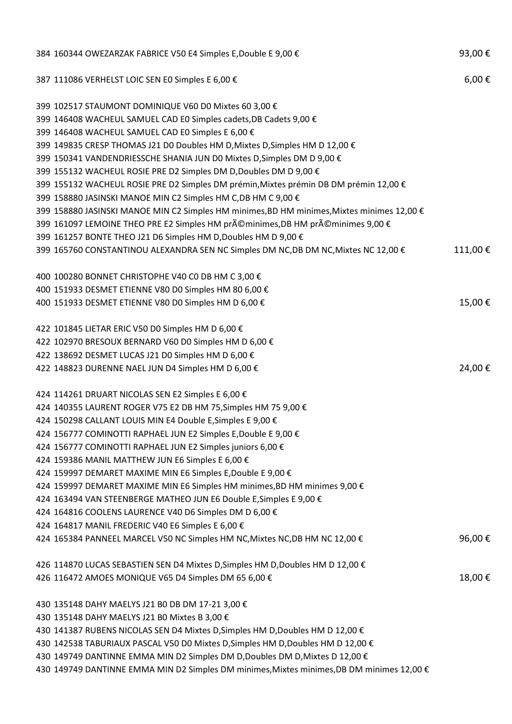| 384 160344 OWEZARZAK FABRICE V50 E4 Simples E, Double E 9,00 €                             | 93,00€     |
|--------------------------------------------------------------------------------------------|------------|
| 387 111086 VERHELST LOIC SEN E0 Simples E 6,00 €                                           | $6,00 \in$ |
| 399 102517 STAUMONT DOMINIQUE V60 D0 Mixtes 60 3,00 €                                      |            |
| 399 146408 WACHEUL SAMUEL CAD E0 Simples cadets, DB Cadets 9,00 €                          |            |
| 399 146408 WACHEUL SAMUEL CAD E0 Simples E 6,00 €                                          |            |
| 399 149835 CRESP THOMAS J21 D0 Doubles HM D, Mixtes D, Simples HM D 12,00 €                |            |
| 399 150341 VANDENDRIESSCHE SHANIA JUN DO Mixtes D, Simples DM D 9,00 €                     |            |
| 399 155132 WACHEUL ROSIE PRE D2 Simples DM D, Doubles DM D 9,00 €                          |            |
| 399 155132 WACHEUL ROSIE PRE D2 Simples DM prémin, Mixtes prémin DB DM prémin 12,00 €      |            |
| 399 158880 JASINSKI MANOE MIN C2 Simples HM C,DB HM C 9,00 €                               |            |
| 399 158880 JASINSKI MANOE MIN C2 Simples HM minimes, BD HM minimes, Mixtes minimes 12,00 € |            |
| 399 161097 LEMOINE THEO PRE E2 Simples HM préminimes,DB HM préminimes 9,00 €               |            |
| 399 161257 BONTE THEO J21 D6 Simples HM D, Doubles HM D 9,00 €                             |            |
| 399 165760 CONSTANTINOU ALEXANDRA SEN NC Simples DM NC,DB DM NC, Mixtes NC 12,00 €         | 111,00€    |
| 400 100280 BONNET CHRISTOPHE V40 C0 DB HM C 3,00 €                                         |            |
| 400 151933 DESMET ETIENNE V80 D0 Simples HM 80 6,00 €                                      |            |
| 400 151933 DESMET ETIENNE V80 D0 Simples HM D 6,00 €                                       | 15,00€     |
| 422 101845 LIETAR ERIC V50 D0 Simples HM D 6,00 €                                          |            |
| 422 102970 BRESOUX BERNARD V60 D0 Simples HM D 6,00 €                                      |            |
| 422 138692 DESMET LUCAS J21 D0 Simples HM D 6,00 €                                         |            |
| 422 148823 DURENNE NAEL JUN D4 Simples HM D 6,00 €                                         | 24,00€     |
| 424 114261 DRUART NICOLAS SEN E2 Simples E 6,00 €                                          |            |
| 424 140355 LAURENT ROGER V75 E2 DB HM 75, Simples HM 75 9,00 €                             |            |
| 424 150298 CALLANT LOUIS MIN E4 Double E, Simples E 9,00 €                                 |            |
| 424 156777 COMINOTTI RAPHAEL JUN E2 Simples E, Double E 9,00 €                             |            |
| 424 156777 COMINOTTI RAPHAEL JUN E2 Simples juniors 6,00 €                                 |            |
| 424 159386 MANIL MATTHEW JUN E6 Simples E 6,00 €                                           |            |
| 424 159997 DEMARET MAXIME MIN E6 Simples E, Double E 9,00 €                                |            |
| 424 159997 DEMARET MAXIME MIN E6 Simples HM minimes, BD HM minimes 9,00 €                  |            |
| 424 163494 VAN STEENBERGE MATHEO JUN E6 Double E, Simples E 9,00 €                         |            |
| 424 164816 COOLENS LAURENCE V40 D6 Simples DM D 6,00 €                                     |            |
| 424 164817 MANIL FREDERIC V40 E6 Simples E 6,00 €                                          |            |
| 424 165384 PANNEEL MARCEL V50 NC Simples HM NC, Mixtes NC, DB HM NC 12,00 €                | 96,00€     |
| 426 114870 LUCAS SEBASTIEN SEN D4 Mixtes D, Simples HM D, Doubles HM D 12,00 €             |            |
| 426 116472 AMOES MONIQUE V65 D4 Simples DM 65 6,00 €                                       | 18,00€     |
| 430 135148 DAHY MAELYS J21 B0 DB DM 17-21 3,00 €                                           |            |
| 430 135148 DAHY MAELYS J21 B0 Mixtes B 3,00 €                                              |            |
| 430 141387 RUBENS NICOLAS SEN D4 Mixtes D, Simples HM D, Doubles HM D 12,00 €              |            |
| 430 142538 TABURIAUX PASCAL V50 D0 Mixtes D, Simples HM D, Doubles HM D 12,00 €            |            |
| 430 149749 DANTINNE EMMA MIN D2 Simples DM D, Doubles DM D, Mixtes D 12,00 €               |            |
| 430 149749 DANTINNE EMMA MIN D2 Simples DM minimes, Mixtes minimes, DB DM minimes 12,00 €  |            |